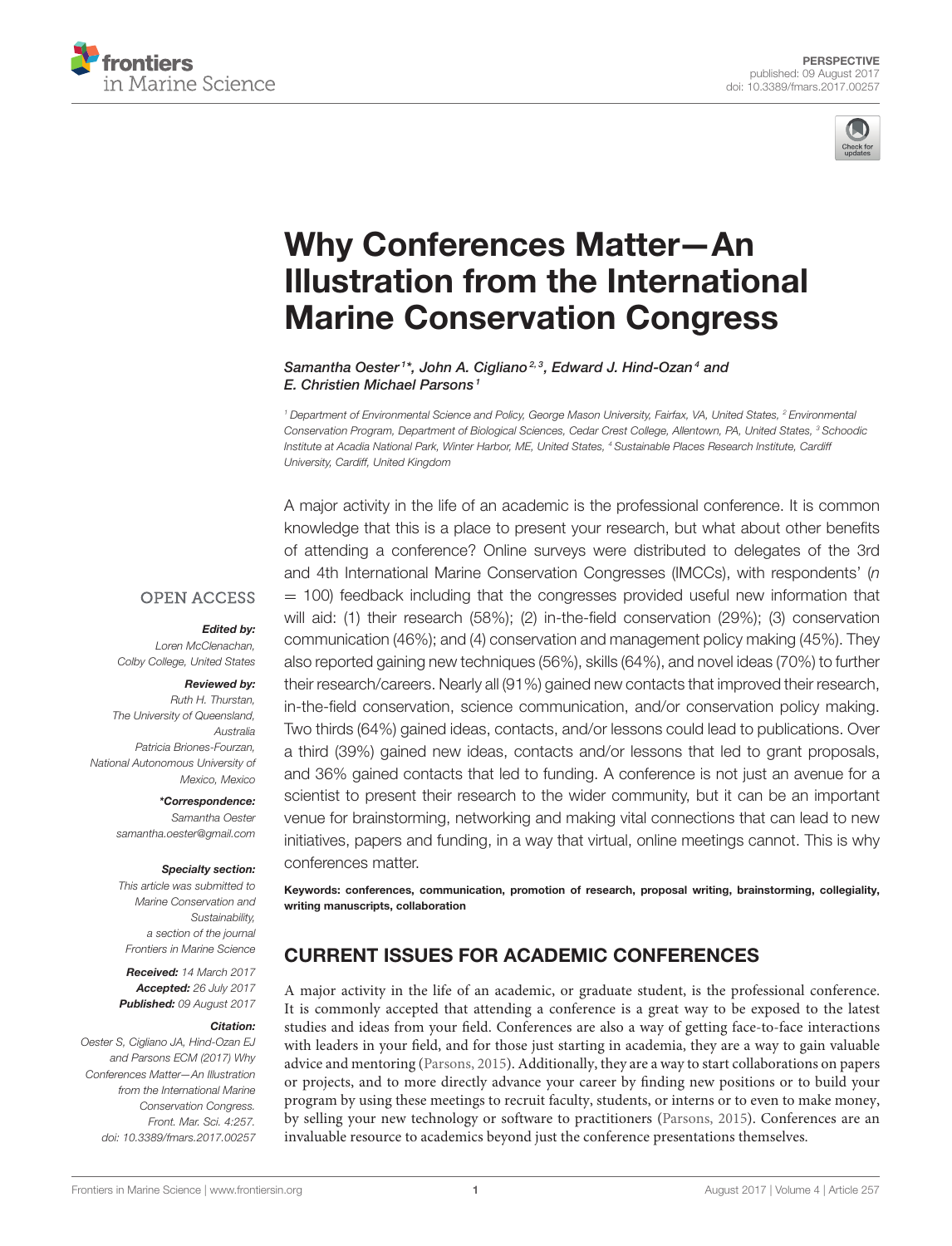



# Why Conferences Matter—An [Illustration from the International](http://journal.frontiersin.org/article/10.3389/fmars.2017.00257/abstract) Marine Conservation Congress

[Samantha Oester](http://loop.frontiersin.org/people/199789/overview)<sup>1\*</sup>, [John A. Cigliano](http://loop.frontiersin.org/people/191086/overview)<sup>2,3</sup>, [Edward J. Hind-Ozan](http://loop.frontiersin.org/people/213593/overview)<sup>4</sup> and [E. Christien Michael Parsons](http://loop.frontiersin.org/people/189435/overview)<sup>1</sup>

*<sup>1</sup> Department of Environmental Science and Policy, George Mason University, Fairfax, VA, United States, <sup>2</sup> Environmental Conservation Program, Department of Biological Sciences, Cedar Crest College, Allentown, PA, United States, <sup>3</sup> Schoodic Institute at Acadia National Park, Winter Harbor, ME, United States, <sup>4</sup> Sustainable Places Research Institute, Cardiff University, Cardiff, United Kingdom*

A major activity in the life of an academic is the professional conference. It is common

**OPEN ACCESS** 

#### Edited by:

*Loren McClenachan, Colby College, United States*

#### Reviewed by:

*Ruth H. Thurstan, The University of Queensland, Australia Patricia Briones-Fourzan, National Autonomous University of Mexico, Mexico*

> \*Correspondence: *Samantha Oester [samantha.oester@gmail.com](mailto:samantha.oester@gmail.com)*

#### Specialty section:

*This article was submitted to Marine Conservation and Sustainability, a section of the journal Frontiers in Marine Science*

Received: *14 March 2017* Accepted: *26 July 2017* Published: *09 August 2017*

#### Citation:

*Oester S, Cigliano JA, Hind-Ozan EJ and Parsons ECM (2017) Why Conferences Matter—An Illustration from the International Marine Conservation Congress. Front. Mar. Sci. 4:257. doi: [10.3389/fmars.2017.00257](https://doi.org/10.3389/fmars.2017.00257)*

knowledge that this is a place to present your research, but what about other benefits of attending a conference? Online surveys were distributed to delegates of the 3rd and 4th International Marine Conservation Congresses (IMCCs), with respondents' (*n*  $=$  100) feedback including that the congresses provided useful new information that will aid: (1) their research (58%); (2) in-the-field conservation (29%); (3) conservation communication (46%); and (4) conservation and management policy making (45%). They also reported gaining new techniques (56%), skills (64%), and novel ideas (70%) to further their research/careers. Nearly all (91%) gained new contacts that improved their research, in-the-field conservation, science communication, and/or conservation policy making. Two thirds (64%) gained ideas, contacts, and/or lessons could lead to publications. Over a third (39%) gained new ideas, contacts and/or lessons that led to grant proposals, and 36% gained contacts that led to funding. A conference is not just an avenue for a scientist to present their research to the wider community, but it can be an important venue for brainstorming, networking and making vital connections that can lead to new initiatives, papers and funding, in a way that virtual, online meetings cannot. This is why conferences matter.

Keywords: conferences, communication, promotion of research, proposal writing, brainstorming, collegiality, writing manuscripts, collaboration

## CURRENT ISSUES FOR ACADEMIC CONFERENCES

A major activity in the life of an academic, or graduate student, is the professional conference. It is commonly accepted that attending a conference is a great way to be exposed to the latest studies and ideas from your field. Conferences are also a way of getting face-to-face interactions with leaders in your field, and for those just starting in academia, they are a way to gain valuable advice and mentoring [\(Parsons, 2015\)](#page-5-0). Additionally, they are a way to start collaborations on papers or projects, and to more directly advance your career by finding new positions or to build your program by using these meetings to recruit faculty, students, or interns or to even to make money, by selling your new technology or software to practitioners [\(Parsons, 2015\)](#page-5-0). Conferences are an invaluable resource to academics beyond just the conference presentations themselves.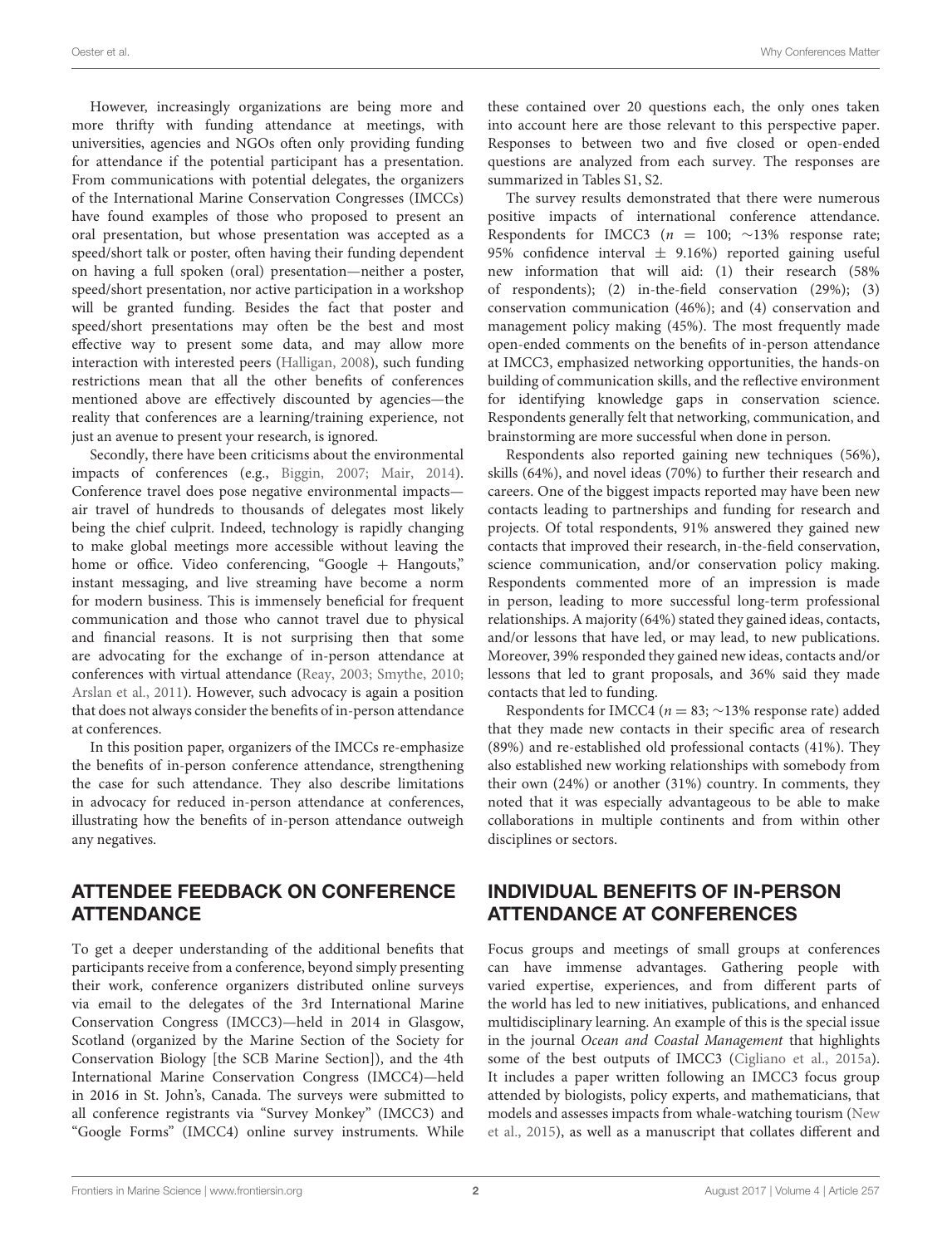However, increasingly organizations are being more and more thrifty with funding attendance at meetings, with universities, agencies and NGOs often only providing funding for attendance if the potential participant has a presentation. From communications with potential delegates, the organizers of the International Marine Conservation Congresses (IMCCs) have found examples of those who proposed to present an oral presentation, but whose presentation was accepted as a speed/short talk or poster, often having their funding dependent on having a full spoken (oral) presentation—neither a poster, speed/short presentation, nor active participation in a workshop will be granted funding. Besides the fact that poster and speed/short presentations may often be the best and most effective way to present some data, and may allow more interaction with interested peers [\(Halligan, 2008\)](#page-5-1), such funding restrictions mean that all the other benefits of conferences mentioned above are effectively discounted by agencies—the reality that conferences are a learning/training experience, not just an avenue to present your research, is ignored.

Secondly, there have been criticisms about the environmental impacts of conferences (e.g., [Biggin, 2007;](#page-5-2) [Mair, 2014\)](#page-5-3). Conference travel does pose negative environmental impacts air travel of hundreds to thousands of delegates most likely being the chief culprit. Indeed, technology is rapidly changing to make global meetings more accessible without leaving the home or office. Video conferencing, "Google + Hangouts," instant messaging, and live streaming have become a norm for modern business. This is immensely beneficial for frequent communication and those who cannot travel due to physical and financial reasons. It is not surprising then that some are advocating for the exchange of in-person attendance at conferences with virtual attendance [\(Reay, 2003;](#page-5-4) [Smythe, 2010;](#page-5-5) [Arslan et al., 2011\)](#page-5-6). However, such advocacy is again a position that does not always consider the benefits of in-person attendance at conferences.

In this position paper, organizers of the IMCCs re-emphasize the benefits of in-person conference attendance, strengthening the case for such attendance. They also describe limitations in advocacy for reduced in-person attendance at conferences, illustrating how the benefits of in-person attendance outweigh any negatives.

#### ATTENDEE FEEDBACK ON CONFERENCE **ATTENDANCE**

To get a deeper understanding of the additional benefits that participants receive from a conference, beyond simply presenting their work, conference organizers distributed online surveys via email to the delegates of the 3rd International Marine Conservation Congress (IMCC3)—held in 2014 in Glasgow, Scotland (organized by the Marine Section of the Society for Conservation Biology [the SCB Marine Section]), and the 4th International Marine Conservation Congress (IMCC4)—held in 2016 in St. John's, Canada. The surveys were submitted to all conference registrants via "Survey Monkey" (IMCC3) and "Google Forms" (IMCC4) online survey instruments. While these contained over 20 questions each, the only ones taken into account here are those relevant to this perspective paper. Responses to between two and five closed or open-ended questions are analyzed from each survey. The responses are summarized in Tables S1, S2.

The survey results demonstrated that there were numerous positive impacts of international conference attendance. Respondents for IMCC3 ( $n = 100$ ; ~13% response rate; 95% confidence interval  $\pm$  9.16%) reported gaining useful new information that will aid: (1) their research (58% of respondents); (2) in-the-field conservation (29%); (3) conservation communication (46%); and (4) conservation and management policy making (45%). The most frequently made open-ended comments on the benefits of in-person attendance at IMCC3, emphasized networking opportunities, the hands-on building of communication skills, and the reflective environment for identifying knowledge gaps in conservation science. Respondents generally felt that networking, communication, and brainstorming are more successful when done in person.

Respondents also reported gaining new techniques (56%), skills (64%), and novel ideas (70%) to further their research and careers. One of the biggest impacts reported may have been new contacts leading to partnerships and funding for research and projects. Of total respondents, 91% answered they gained new contacts that improved their research, in-the-field conservation, science communication, and/or conservation policy making. Respondents commented more of an impression is made in person, leading to more successful long-term professional relationships. A majority (64%) stated they gained ideas, contacts, and/or lessons that have led, or may lead, to new publications. Moreover, 39% responded they gained new ideas, contacts and/or lessons that led to grant proposals, and 36% said they made contacts that led to funding.

Respondents for IMCC4 ( $n = 83$ ; ~13% response rate) added that they made new contacts in their specific area of research (89%) and re-established old professional contacts (41%). They also established new working relationships with somebody from their own (24%) or another (31%) country. In comments, they noted that it was especially advantageous to be able to make collaborations in multiple continents and from within other disciplines or sectors.

## INDIVIDUAL BENEFITS OF IN-PERSON ATTENDANCE AT CONFERENCES

Focus groups and meetings of small groups at conferences can have immense advantages. Gathering people with varied expertise, experiences, and from different parts of the world has led to new initiatives, publications, and enhanced multidisciplinary learning. An example of this is the special issue in the journal Ocean and Coastal Management that highlights some of the best outputs of IMCC3 [\(Cigliano et al., 2015a\)](#page-5-7). It includes a paper written following an IMCC3 focus group attended by biologists, policy experts, and mathematicians, that models and assesses impacts from whale-watching tourism (New et al., [2015\)](#page-5-8), as well as a manuscript that collates different and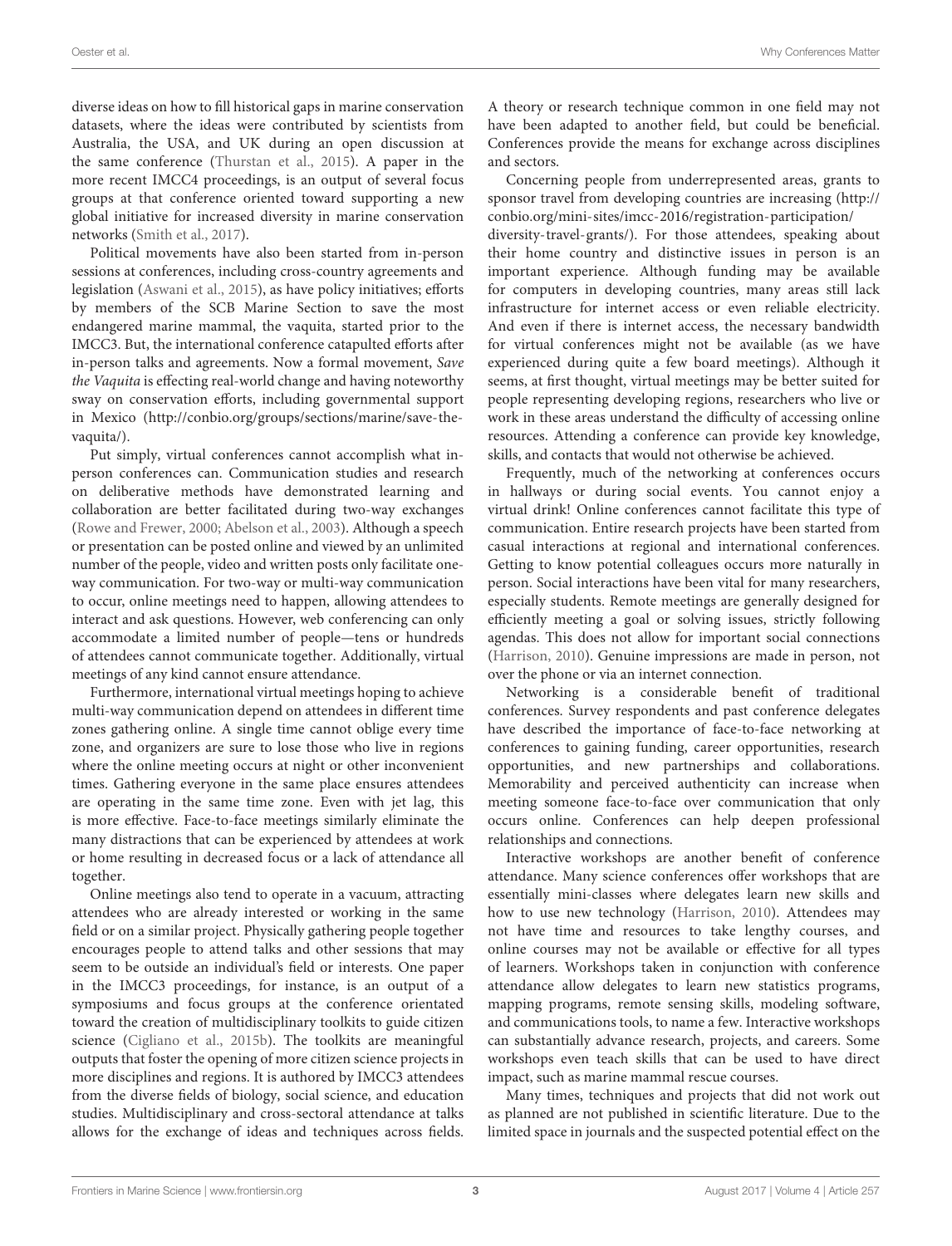diverse ideas on how to fill historical gaps in marine conservation datasets, where the ideas were contributed by scientists from Australia, the USA, and UK during an open discussion at the same conference [\(Thurstan et al., 2015\)](#page-5-9). A paper in the more recent IMCC4 proceedings, is an output of several focus groups at that conference oriented toward supporting a new global initiative for increased diversity in marine conservation networks [\(Smith et al., 2017\)](#page-5-10).

Political movements have also been started from in-person sessions at conferences, including cross-country agreements and legislation [\(Aswani et al., 2015\)](#page-5-11), as have policy initiatives; efforts by members of the SCB Marine Section to save the most endangered marine mammal, the vaquita, started prior to the IMCC3. But, the international conference catapulted efforts after in-person talks and agreements. Now a formal movement, Save the Vaquita is effecting real-world change and having noteworthy sway on conservation efforts, including governmental support in Mexico [\(http://conbio.org/groups/sections/marine/save-the](http://conbio.org/groups/sections/marine/save-the-vaquita/)[vaquita/\)](http://conbio.org/groups/sections/marine/save-the-vaquita/).

Put simply, virtual conferences cannot accomplish what inperson conferences can. Communication studies and research on deliberative methods have demonstrated learning and collaboration are better facilitated during two-way exchanges [\(Rowe and Frewer, 2000;](#page-5-12) [Abelson et al., 2003\)](#page-5-13). Although a speech or presentation can be posted online and viewed by an unlimited number of the people, video and written posts only facilitate oneway communication. For two-way or multi-way communication to occur, online meetings need to happen, allowing attendees to interact and ask questions. However, web conferencing can only accommodate a limited number of people—tens or hundreds of attendees cannot communicate together. Additionally, virtual meetings of any kind cannot ensure attendance.

Furthermore, international virtual meetings hoping to achieve multi-way communication depend on attendees in different time zones gathering online. A single time cannot oblige every time zone, and organizers are sure to lose those who live in regions where the online meeting occurs at night or other inconvenient times. Gathering everyone in the same place ensures attendees are operating in the same time zone. Even with jet lag, this is more effective. Face-to-face meetings similarly eliminate the many distractions that can be experienced by attendees at work or home resulting in decreased focus or a lack of attendance all together.

Online meetings also tend to operate in a vacuum, attracting attendees who are already interested or working in the same field or on a similar project. Physically gathering people together encourages people to attend talks and other sessions that may seem to be outside an individual's field or interests. One paper in the IMCC3 proceedings, for instance, is an output of a symposiums and focus groups at the conference orientated toward the creation of multidisciplinary toolkits to guide citizen science [\(Cigliano et al., 2015b\)](#page-5-14). The toolkits are meaningful outputs that foster the opening of more citizen science projects in more disciplines and regions. It is authored by IMCC3 attendees from the diverse fields of biology, social science, and education studies. Multidisciplinary and cross-sectoral attendance at talks allows for the exchange of ideas and techniques across fields. A theory or research technique common in one field may not have been adapted to another field, but could be beneficial. Conferences provide the means for exchange across disciplines and sectors.

Concerning people from underrepresented areas, grants to sponsor travel from developing countries are increasing [\(http://](http://conbio.org/mini-sites/imcc-2016/registration-participation/diversity-travel-grants/) [conbio.org/mini-sites/imcc-2016/registration-participation/](http://conbio.org/mini-sites/imcc-2016/registration-participation/diversity-travel-grants/) [diversity-travel-grants/\)](http://conbio.org/mini-sites/imcc-2016/registration-participation/diversity-travel-grants/). For those attendees, speaking about their home country and distinctive issues in person is an important experience. Although funding may be available for computers in developing countries, many areas still lack infrastructure for internet access or even reliable electricity. And even if there is internet access, the necessary bandwidth for virtual conferences might not be available (as we have experienced during quite a few board meetings). Although it seems, at first thought, virtual meetings may be better suited for people representing developing regions, researchers who live or work in these areas understand the difficulty of accessing online resources. Attending a conference can provide key knowledge, skills, and contacts that would not otherwise be achieved.

Frequently, much of the networking at conferences occurs in hallways or during social events. You cannot enjoy a virtual drink! Online conferences cannot facilitate this type of communication. Entire research projects have been started from casual interactions at regional and international conferences. Getting to know potential colleagues occurs more naturally in person. Social interactions have been vital for many researchers, especially students. Remote meetings are generally designed for efficiently meeting a goal or solving issues, strictly following agendas. This does not allow for important social connections [\(Harrison, 2010\)](#page-5-15). Genuine impressions are made in person, not over the phone or via an internet connection.

Networking is a considerable benefit of traditional conferences. Survey respondents and past conference delegates have described the importance of face-to-face networking at conferences to gaining funding, career opportunities, research opportunities, and new partnerships and collaborations. Memorability and perceived authenticity can increase when meeting someone face-to-face over communication that only occurs online. Conferences can help deepen professional relationships and connections.

Interactive workshops are another benefit of conference attendance. Many science conferences offer workshops that are essentially mini-classes where delegates learn new skills and how to use new technology [\(Harrison, 2010\)](#page-5-15). Attendees may not have time and resources to take lengthy courses, and online courses may not be available or effective for all types of learners. Workshops taken in conjunction with conference attendance allow delegates to learn new statistics programs, mapping programs, remote sensing skills, modeling software, and communications tools, to name a few. Interactive workshops can substantially advance research, projects, and careers. Some workshops even teach skills that can be used to have direct impact, such as marine mammal rescue courses.

Many times, techniques and projects that did not work out as planned are not published in scientific literature. Due to the limited space in journals and the suspected potential effect on the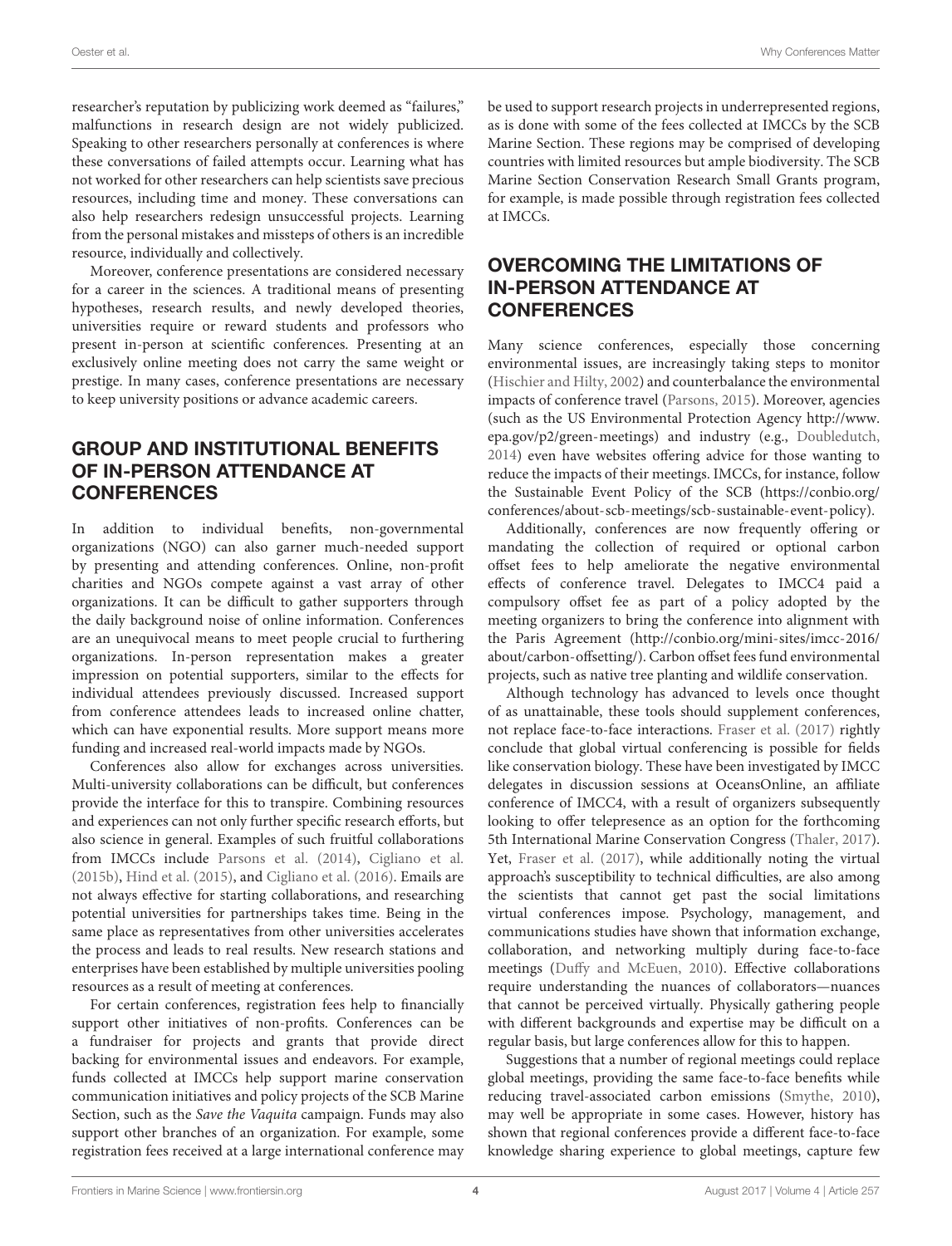researcher's reputation by publicizing work deemed as "failures," malfunctions in research design are not widely publicized. Speaking to other researchers personally at conferences is where these conversations of failed attempts occur. Learning what has not worked for other researchers can help scientists save precious resources, including time and money. These conversations can also help researchers redesign unsuccessful projects. Learning from the personal mistakes and missteps of others is an incredible resource, individually and collectively.

Moreover, conference presentations are considered necessary for a career in the sciences. A traditional means of presenting hypotheses, research results, and newly developed theories, universities require or reward students and professors who present in-person at scientific conferences. Presenting at an exclusively online meeting does not carry the same weight or prestige. In many cases, conference presentations are necessary to keep university positions or advance academic careers.

## GROUP AND INSTITUTIONAL BENEFITS OF IN-PERSON ATTENDANCE AT **CONFERENCES**

In addition to individual benefits, non-governmental organizations (NGO) can also garner much-needed support by presenting and attending conferences. Online, non-profit charities and NGOs compete against a vast array of other organizations. It can be difficult to gather supporters through the daily background noise of online information. Conferences are an unequivocal means to meet people crucial to furthering organizations. In-person representation makes a greater impression on potential supporters, similar to the effects for individual attendees previously discussed. Increased support from conference attendees leads to increased online chatter, which can have exponential results. More support means more funding and increased real-world impacts made by NGOs.

Conferences also allow for exchanges across universities. Multi-university collaborations can be difficult, but conferences provide the interface for this to transpire. Combining resources and experiences can not only further specific research efforts, but also science in general. Examples of such fruitful collaborations from IMCCs include [Parsons et al. \(2014\)](#page-5-16), [Cigliano et al.](#page-5-14) [\(2015b\)](#page-5-14), [Hind et al. \(2015\)](#page-5-17), and [Cigliano et al. \(2016\)](#page-5-18). Emails are not always effective for starting collaborations, and researching potential universities for partnerships takes time. Being in the same place as representatives from other universities accelerates the process and leads to real results. New research stations and enterprises have been established by multiple universities pooling resources as a result of meeting at conferences.

For certain conferences, registration fees help to financially support other initiatives of non-profits. Conferences can be a fundraiser for projects and grants that provide direct backing for environmental issues and endeavors. For example, funds collected at IMCCs help support marine conservation communication initiatives and policy projects of the SCB Marine Section, such as the Save the Vaquita campaign. Funds may also support other branches of an organization. For example, some registration fees received at a large international conference may be used to support research projects in underrepresented regions, as is done with some of the fees collected at IMCCs by the SCB Marine Section. These regions may be comprised of developing countries with limited resources but ample biodiversity. The SCB Marine Section Conservation Research Small Grants program, for example, is made possible through registration fees collected at IMCCs.

## OVERCOMING THE LIMITATIONS OF IN-PERSON ATTENDANCE AT **CONFERENCES**

Many science conferences, especially those concerning environmental issues, are increasingly taking steps to monitor [\(Hischier and Hilty, 2002\)](#page-5-19) and counterbalance the environmental impacts of conference travel [\(Parsons, 2015\)](#page-5-0). Moreover, agencies (such as the US Environmental Protection Agency [http://www.](http://www.epa.gov/p2/green-meetings) [epa.gov/p2/green-meetings\)](http://www.epa.gov/p2/green-meetings) and industry (e.g., [Doubledutch,](#page-5-20) [2014\)](#page-5-20) even have websites offering advice for those wanting to reduce the impacts of their meetings. IMCCs, for instance, follow the Sustainable Event Policy of the SCB [\(https://conbio.org/](https://conbio.org/conferences/about-scb-meetings/scb-sustainable-event-policy) [conferences/about-scb-meetings/scb-sustainable-event-policy\)](https://conbio.org/conferences/about-scb-meetings/scb-sustainable-event-policy).

Additionally, conferences are now frequently offering or mandating the collection of required or optional carbon offset fees to help ameliorate the negative environmental effects of conference travel. Delegates to IMCC4 paid a compulsory offset fee as part of a policy adopted by the meeting organizers to bring the conference into alignment with the Paris Agreement [\(http://conbio.org/mini-sites/imcc-2016/](http://conbio.org/mini-sites/imcc-2016/about/carbon-offsetting/) [about/carbon-offsetting/\)](http://conbio.org/mini-sites/imcc-2016/about/carbon-offsetting/). Carbon offset fees fund environmental projects, such as native tree planting and wildlife conservation.

Although technology has advanced to levels once thought of as unattainable, these tools should supplement conferences, not replace face-to-face interactions. [Fraser et al. \(2017\)](#page-5-21) rightly conclude that global virtual conferencing is possible for fields like conservation biology. These have been investigated by IMCC delegates in discussion sessions at OceansOnline, an affiliate conference of IMCC4, with a result of organizers subsequently looking to offer telepresence as an option for the forthcoming 5th International Marine Conservation Congress [\(Thaler, 2017\)](#page-5-22). Yet, [Fraser et al. \(2017\)](#page-5-21), while additionally noting the virtual approach's susceptibility to technical difficulties, are also among the scientists that cannot get past the social limitations virtual conferences impose. Psychology, management, and communications studies have shown that information exchange, collaboration, and networking multiply during face-to-face meetings [\(Duffy and McEuen, 2010\)](#page-5-23). Effective collaborations require understanding the nuances of collaborators—nuances that cannot be perceived virtually. Physically gathering people with different backgrounds and expertise may be difficult on a regular basis, but large conferences allow for this to happen.

Suggestions that a number of regional meetings could replace global meetings, providing the same face-to-face benefits while reducing travel-associated carbon emissions [\(Smythe, 2010\)](#page-5-5), may well be appropriate in some cases. However, history has shown that regional conferences provide a different face-to-face knowledge sharing experience to global meetings, capture few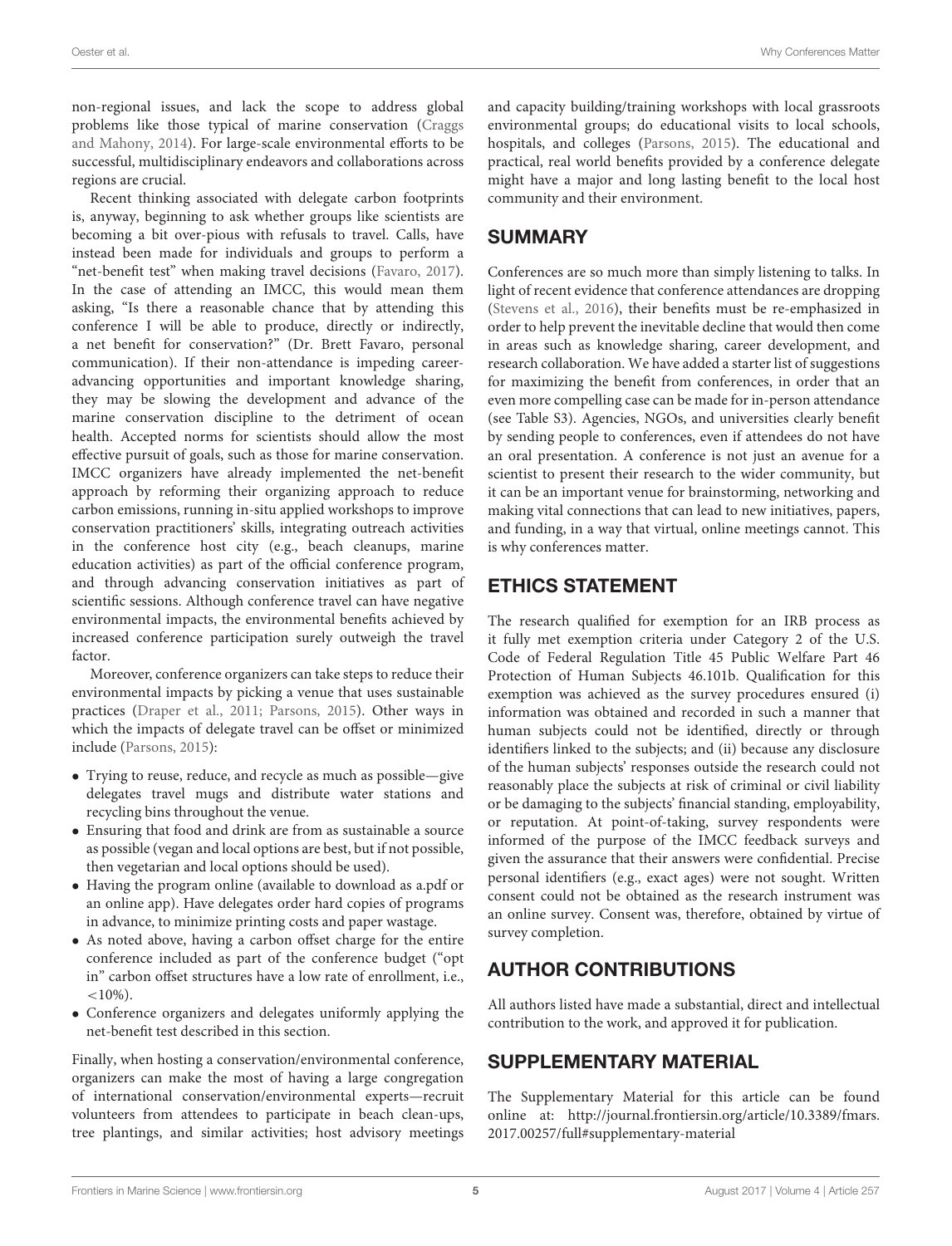non-regional issues, and lack the scope to address global problems like those typical of marine conservation (Craggs and Mahony, [2014\)](#page-5-24). For large-scale environmental efforts to be successful, multidisciplinary endeavors and collaborations across regions are crucial.

Recent thinking associated with delegate carbon footprints is, anyway, beginning to ask whether groups like scientists are becoming a bit over-pious with refusals to travel. Calls, have instead been made for individuals and groups to perform a "net-benefit test" when making travel decisions [\(Favaro, 2017\)](#page-5-25). In the case of attending an IMCC, this would mean them asking, "Is there a reasonable chance that by attending this conference I will be able to produce, directly or indirectly, a net benefit for conservation?" (Dr. Brett Favaro, personal communication). If their non-attendance is impeding careeradvancing opportunities and important knowledge sharing, they may be slowing the development and advance of the marine conservation discipline to the detriment of ocean health. Accepted norms for scientists should allow the most effective pursuit of goals, such as those for marine conservation. IMCC organizers have already implemented the net-benefit approach by reforming their organizing approach to reduce carbon emissions, running in-situ applied workshops to improve conservation practitioners' skills, integrating outreach activities in the conference host city (e.g., beach cleanups, marine education activities) as part of the official conference program, and through advancing conservation initiatives as part of scientific sessions. Although conference travel can have negative environmental impacts, the environmental benefits achieved by increased conference participation surely outweigh the travel factor.

Moreover, conference organizers can take steps to reduce their environmental impacts by picking a venue that uses sustainable practices [\(Draper et al., 2011;](#page-5-26) [Parsons, 2015\)](#page-5-0). Other ways in which the impacts of delegate travel can be offset or minimized include [\(Parsons, 2015\)](#page-5-0):

- Trying to reuse, reduce, and recycle as much as possible—give delegates travel mugs and distribute water stations and recycling bins throughout the venue.
- Ensuring that food and drink are from as sustainable a source as possible (vegan and local options are best, but if not possible, then vegetarian and local options should be used).
- Having the program online (available to download as a.pdf or an online app). Have delegates order hard copies of programs in advance, to minimize printing costs and paper wastage.
- As noted above, having a carbon offset charge for the entire conference included as part of the conference budget ("opt in" carbon offset structures have a low rate of enrollment, i.e.,  $<10\%$ ).
- Conference organizers and delegates uniformly applying the net-benefit test described in this section.

Finally, when hosting a conservation/environmental conference, organizers can make the most of having a large congregation of international conservation/environmental experts—recruit volunteers from attendees to participate in beach clean-ups, tree plantings, and similar activities; host advisory meetings and capacity building/training workshops with local grassroots environmental groups; do educational visits to local schools, hospitals, and colleges [\(Parsons, 2015\)](#page-5-0). The educational and practical, real world benefits provided by a conference delegate might have a major and long lasting benefit to the local host community and their environment.

## SUMMARY

Conferences are so much more than simply listening to talks. In light of recent evidence that conference attendances are dropping [\(Stevens et al., 2016\)](#page-5-27), their benefits must be re-emphasized in order to help prevent the inevitable decline that would then come in areas such as knowledge sharing, career development, and research collaboration. We have added a starter list of suggestions for maximizing the benefit from conferences, in order that an even more compelling case can be made for in-person attendance (see Table S3). Agencies, NGOs, and universities clearly benefit by sending people to conferences, even if attendees do not have an oral presentation. A conference is not just an avenue for a scientist to present their research to the wider community, but it can be an important venue for brainstorming, networking and making vital connections that can lead to new initiatives, papers, and funding, in a way that virtual, online meetings cannot. This is why conferences matter.

# ETHICS STATEMENT

The research qualified for exemption for an IRB process as it fully met exemption criteria under Category 2 of the U.S. Code of Federal Regulation Title 45 Public Welfare Part 46 Protection of Human Subjects 46.101b. Qualification for this exemption was achieved as the survey procedures ensured (i) information was obtained and recorded in such a manner that human subjects could not be identified, directly or through identifiers linked to the subjects; and (ii) because any disclosure of the human subjects' responses outside the research could not reasonably place the subjects at risk of criminal or civil liability or be damaging to the subjects' financial standing, employability, or reputation. At point-of-taking, survey respondents were informed of the purpose of the IMCC feedback surveys and given the assurance that their answers were confidential. Precise personal identifiers (e.g., exact ages) were not sought. Written consent could not be obtained as the research instrument was an online survey. Consent was, therefore, obtained by virtue of survey completion.

# AUTHOR CONTRIBUTIONS

All authors listed have made a substantial, direct and intellectual contribution to the work, and approved it for publication.

## SUPPLEMENTARY MATERIAL

The Supplementary Material for this article can be found [online at: http://journal.frontiersin.org/article/10.3389/fmars.](http://journal.frontiersin.org/article/10.3389/fmars.2017.00257/full#supplementary-material) 2017.00257/full#supplementary-material